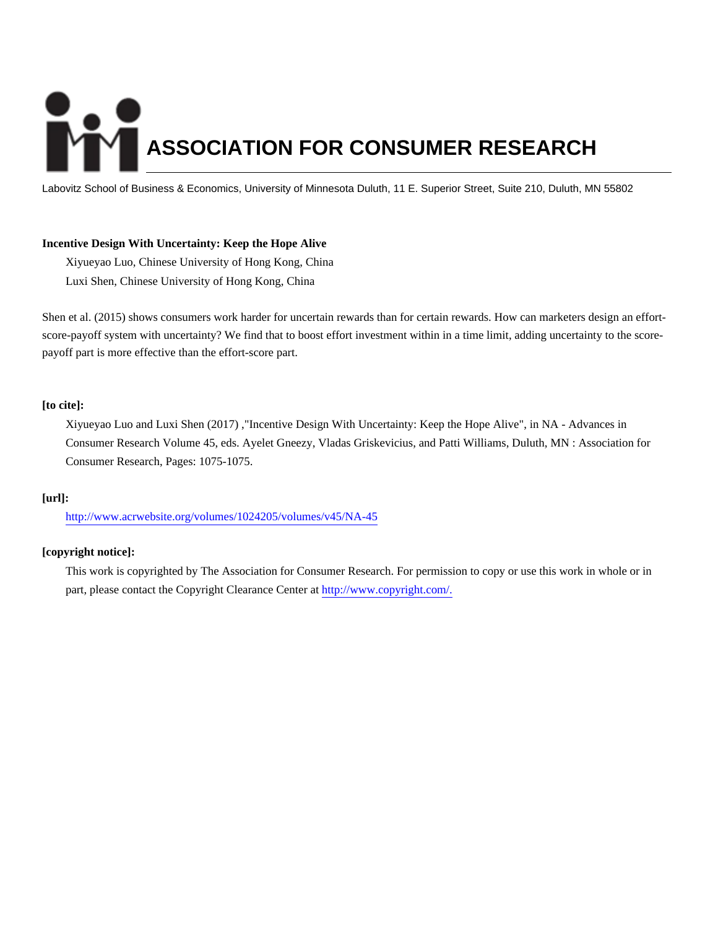# **ASSOCIATION FOR CONSUMER RESEARCH**

Labovitz School of Business & Economics, University of Minnesota Duluth, 11 E. Superior Street, Suite 210, Duluth, MN 55802

#### **Incentive Design With Uncertainty: Keep the Hope Alive**

Xiyueyao Luo, Chinese University of Hong Kong, China Luxi Shen, Chinese University of Hong Kong, China

Shen et al. (2015) shows consumers work harder for uncertain rewards than for certain rewards. How can marketers design an effortscore-payoff system with uncertainty? We find that to boost effort investment within in a time limit, adding uncertainty to the scorepayoff part is more effective than the effort-score part.

#### **[to cite]:**

Xiyueyao Luo and Luxi Shen (2017) ,"Incentive Design With Uncertainty: Keep the Hope Alive", in NA - Advances in Consumer Research Volume 45, eds. Ayelet Gneezy, Vladas Griskevicius, and Patti Williams, Duluth, MN : Association for Consumer Research, Pages: 1075-1075.

#### **[url]:**

<http://www.acrwebsite.org/volumes/1024205/volumes/v45/NA-45>

### **[copyright notice]:**

This work is copyrighted by The Association for Consumer Research. For permission to copy or use this work in whole or in part, please contact the Copyright Clearance Center at [http://www.copyright.com/.](http://www.copyright.com/)